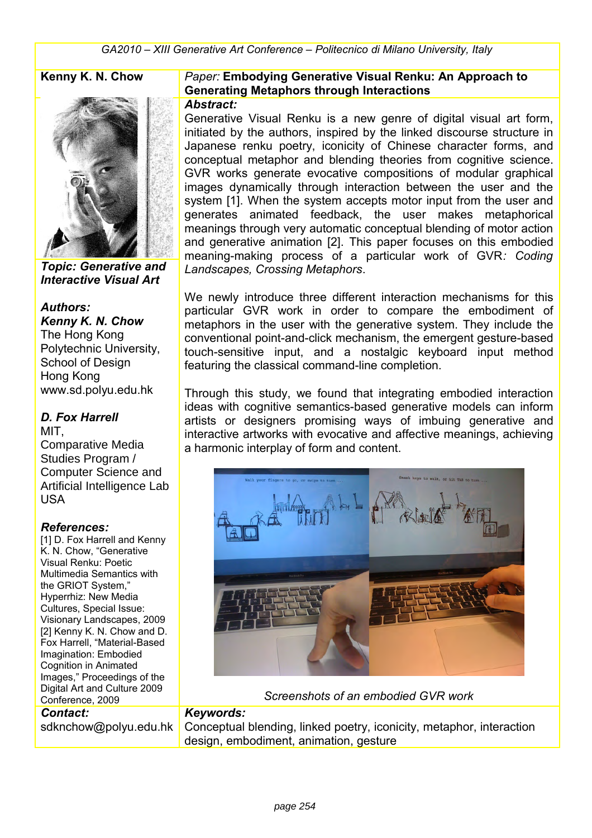

*Topic: Generative and Interactive Visual Art*

#### *Authors:*

*Kenny K. N. Chow* The Hong Kong Polytechnic University, School of Design Hong Kong www.sd.polyu.edu.hk

## *D. Fox Harrell*

MIT, Comparative Media Studies Program / Computer Science and Artificial Intelligence Lab USA

#### *References:*

[1] D. Fox Harrell and Kenny K. N. Chow, "Generative Visual Renku: Poetic Multimedia Semantics with the GRIOT System," Hyperrhiz: New Media Cultures, Special Issue: Visionary Landscapes, 2009 [2] Kenny K. N. Chow and D. Fox Harrell, "Material-Based Imagination: Embodied Cognition in Animated Images," Proceedings of the Digital Art and Culture 2009 Conference, 2009 *Contact:*

sdknchow@polyu.edu.hk

#### **Kenny K. N. Chow** *Paper:* **Embodying Generative Visual Renku: An Approach to Generating Metaphors through Interactions**

#### *Abstract:*

Generative Visual Renku is a new genre of digital visual art form, initiated by the authors, inspired by the linked discourse structure in Japanese renku poetry, iconicity of Chinese character forms, and conceptual metaphor and blending theories from cognitive science. GVR works generate evocative compositions of modular graphical images dynamically through interaction between the user and the system [1]. When the system accepts motor input from the user and generates animated feedback, the user makes metaphorical meanings through very automatic conceptual blending of motor action and generative animation [2]. This paper focuses on this embodied meaning-making process of a particular work of GVR*: Coding Landscapes, Crossing Metaphors*.

We newly introduce three different interaction mechanisms for this particular GVR work in order to compare the embodiment of metaphors in the user with the generative system. They include the conventional point-and-click mechanism, the emergent gesture-based touch-sensitive input, and a nostalgic keyboard input method featuring the classical command-line completion.

Through this study, we found that integrating embodied interaction ideas with cognitive semantics-based generative models can inform artists or designers promising ways of imbuing generative and interactive artworks with evocative and affective meanings, achieving a harmonic interplay of form and content.



*Screenshots of an embodied GVR work*

#### *Keywords:*

Conceptual blending, linked poetry, iconicity, metaphor, interaction design, embodiment, animation, gesture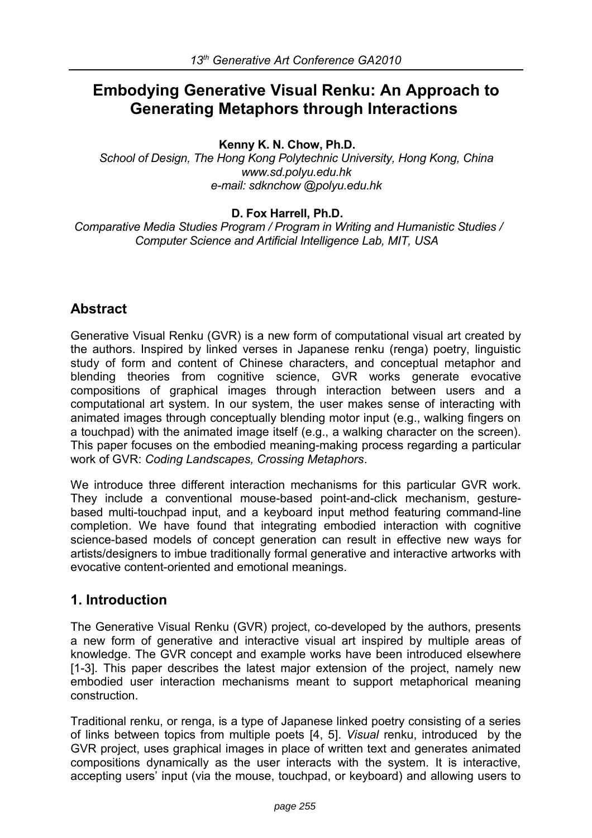# **Embodying Generative Visual Renku: An Approach to Generating Metaphors through Interactions**

**Kenny K. N. Chow, Ph.D.**

*School of Design, The Hong Kong Polytechnic University, Hong Kong, China www.sd.polyu.edu.hk e-mail: sdknchow @polyu.edu.hk*

#### **D. Fox Harrell, Ph.D.**

 *Comparative Media Studies Program / Program in Writing and Humanistic Studies / Computer Science and Artificial Intelligence Lab, MIT, USA*

## **Abstract**

Generative Visual Renku (GVR) is a new form of computational visual art created by the authors. Inspired by linked verses in Japanese renku (renga) poetry, linguistic study of form and content of Chinese characters, and conceptual metaphor and blending theories from cognitive science, GVR works generate evocative compositions of graphical images through interaction between users and a computational art system. In our system, the user makes sense of interacting with animated images through conceptually blending motor input (e.g., walking fingers on a touchpad) with the animated image itself (e.g., a walking character on the screen). This paper focuses on the embodied meaning-making process regarding a particular work of GVR: *Coding Landscapes, Crossing Metaphors*.

We introduce three different interaction mechanisms for this particular GVR work. They include a conventional mouse-based point-and-click mechanism, gesturebased multi-touchpad input, and a keyboard input method featuring command-line completion. We have found that integrating embodied interaction with cognitive science-based models of concept generation can result in effective new ways for artists/designers to imbue traditionally formal generative and interactive artworks with evocative content-oriented and emotional meanings.

## **1. Introduction**

The Generative Visual Renku (GVR) project, co-developed by the authors, presents a new form of generative and interactive visual art inspired by multiple areas of knowledge. The GVR concept and example works have been introduced elsewhere [1-3]. This paper describes the latest major extension of the project, namely new embodied user interaction mechanisms meant to support metaphorical meaning construction.

Traditional renku, or renga, is a type of Japanese linked poetry consisting of a series of links between topics from multiple poets [4, 5]. *Visual* renku, introduced by the GVR project, uses graphical images in place of written text and generates animated compositions dynamically as the user interacts with the system. It is interactive, accepting users' input (via the mouse, touchpad, or keyboard) and allowing users to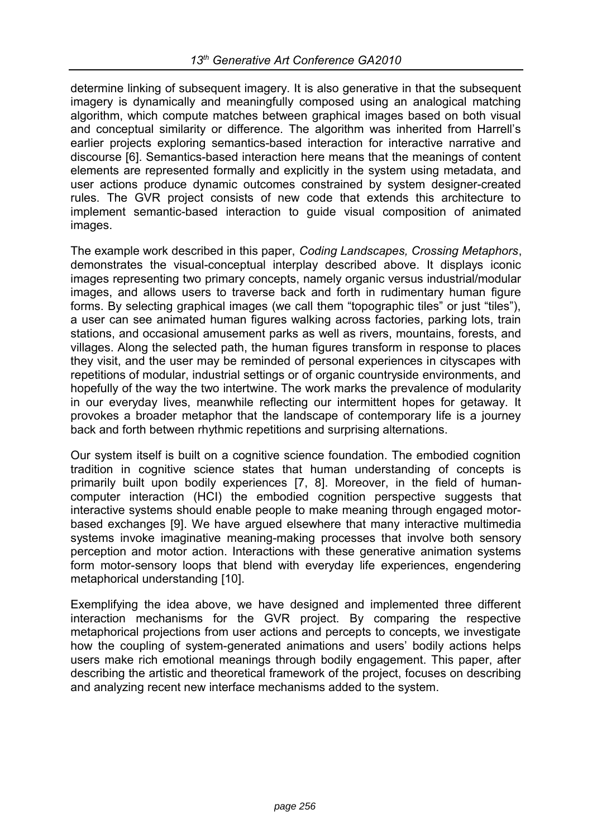determine linking of subsequent imagery. It is also generative in that the subsequent imagery is dynamically and meaningfully composed using an analogical matching algorithm, which compute matches between graphical images based on both visual and conceptual similarity or difference. The algorithm was inherited from Harrell's earlier projects exploring semantics-based interaction for interactive narrative and discourse [6]. Semantics-based interaction here means that the meanings of content elements are represented formally and explicitly in the system using metadata, and user actions produce dynamic outcomes constrained by system designer-created rules. The GVR project consists of new code that extends this architecture to implement semantic-based interaction to guide visual composition of animated images.

The example work described in this paper, *Coding Landscapes, Crossing Metaphors*, demonstrates the visual-conceptual interplay described above. It displays iconic images representing two primary concepts, namely organic versus industrial/modular images, and allows users to traverse back and forth in rudimentary human figure forms. By selecting graphical images (we call them "topographic tiles" or just "tiles"), a user can see animated human figures walking across factories, parking lots, train stations, and occasional amusement parks as well as rivers, mountains, forests, and villages. Along the selected path, the human figures transform in response to places they visit, and the user may be reminded of personal experiences in cityscapes with repetitions of modular, industrial settings or of organic countryside environments, and hopefully of the way the two intertwine. The work marks the prevalence of modularity in our everyday lives, meanwhile reflecting our intermittent hopes for getaway. It provokes a broader metaphor that the landscape of contemporary life is a journey back and forth between rhythmic repetitions and surprising alternations.

Our system itself is built on a cognitive science foundation. The embodied cognition tradition in cognitive science states that human understanding of concepts is primarily built upon bodily experiences [7, 8]. Moreover, in the field of humancomputer interaction (HCI) the embodied cognition perspective suggests that interactive systems should enable people to make meaning through engaged motorbased exchanges [9]. We have argued elsewhere that many interactive multimedia systems invoke imaginative meaning-making processes that involve both sensory perception and motor action. Interactions with these generative animation systems form motor-sensory loops that blend with everyday life experiences, engendering metaphorical understanding [10].

Exemplifying the idea above, we have designed and implemented three different interaction mechanisms for the GVR project. By comparing the respective metaphorical projections from user actions and percepts to concepts, we investigate how the coupling of system-generated animations and users' bodily actions helps users make rich emotional meanings through bodily engagement. This paper, after describing the artistic and theoretical framework of the project, focuses on describing and analyzing recent new interface mechanisms added to the system.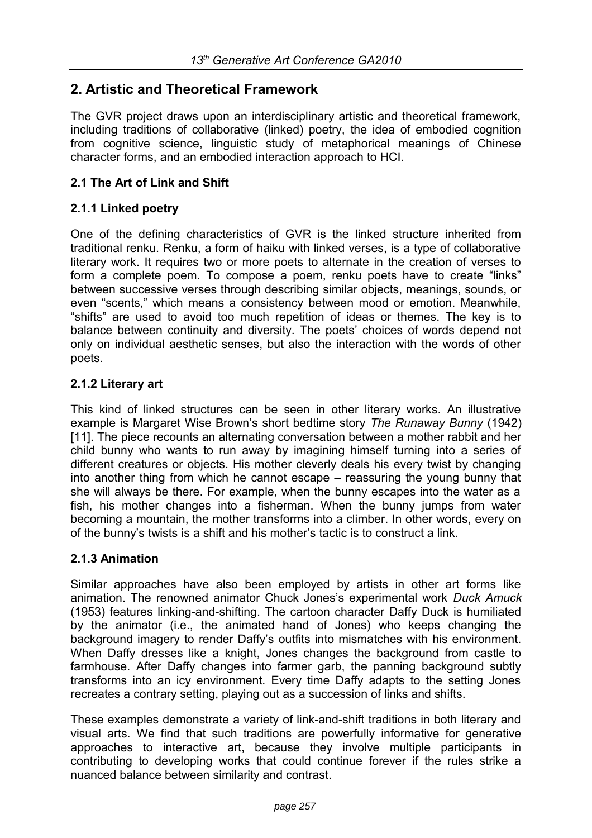## **2. Artistic and Theoretical Framework**

The GVR project draws upon an interdisciplinary artistic and theoretical framework, including traditions of collaborative (linked) poetry, the idea of embodied cognition from cognitive science, linguistic study of metaphorical meanings of Chinese character forms, and an embodied interaction approach to HCI.

### **2.1 The Art of Link and Shift**

#### **2.1.1 Linked poetry**

One of the defining characteristics of GVR is the linked structure inherited from traditional renku. Renku, a form of haiku with linked verses, is a type of collaborative literary work. It requires two or more poets to alternate in the creation of verses to form a complete poem. To compose a poem, renku poets have to create "links" between successive verses through describing similar objects, meanings, sounds, or even "scents," which means a consistency between mood or emotion. Meanwhile, "shifts" are used to avoid too much repetition of ideas or themes. The key is to balance between continuity and diversity. The poets' choices of words depend not only on individual aesthetic senses, but also the interaction with the words of other poets.

#### **2.1.2 Literary art**

This kind of linked structures can be seen in other literary works. An illustrative example is Margaret Wise Brown's short bedtime story *The Runaway Bunny* (1942) [11]. The piece recounts an alternating conversation between a mother rabbit and her child bunny who wants to run away by imagining himself turning into a series of different creatures or objects. His mother cleverly deals his every twist by changing into another thing from which he cannot escape – reassuring the young bunny that she will always be there. For example, when the bunny escapes into the water as a fish, his mother changes into a fisherman. When the bunny jumps from water becoming a mountain, the mother transforms into a climber. In other words, every on of the bunny's twists is a shift and his mother's tactic is to construct a link.

#### **2.1.3 Animation**

Similar approaches have also been employed by artists in other art forms like animation. The renowned animator Chuck Jones's experimental work *Duck Amuck*  (1953) features linking-and-shifting. The cartoon character Daffy Duck is humiliated by the animator (i.e., the animated hand of Jones) who keeps changing the background imagery to render Daffy's outfits into mismatches with his environment. When Daffy dresses like a knight, Jones changes the background from castle to farmhouse. After Daffy changes into farmer garb, the panning background subtly transforms into an icy environment. Every time Daffy adapts to the setting Jones recreates a contrary setting, playing out as a succession of links and shifts.

These examples demonstrate a variety of link-and-shift traditions in both literary and visual arts. We find that such traditions are powerfully informative for generative approaches to interactive art, because they involve multiple participants in contributing to developing works that could continue forever if the rules strike a nuanced balance between similarity and contrast.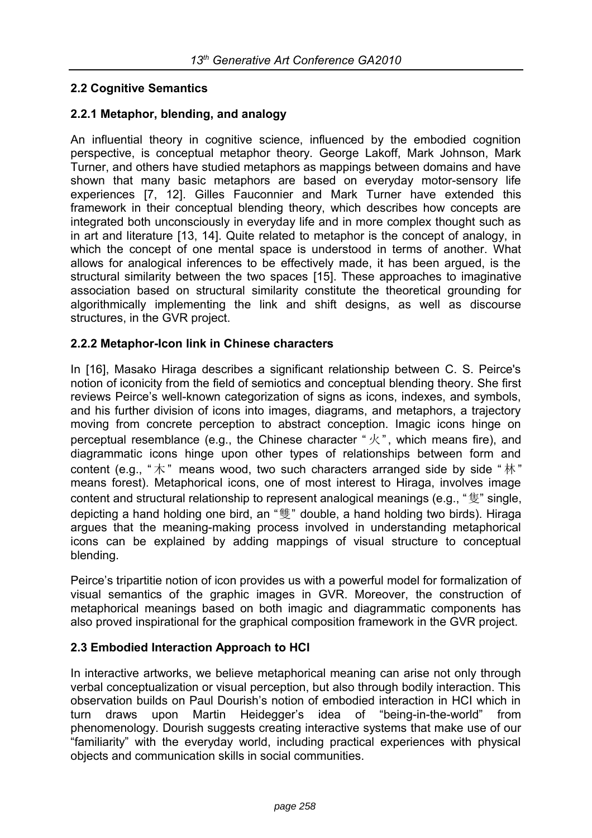## **2.2 Cognitive Semantics**

#### **2.2.1 Metaphor, blending, and analogy**

An influential theory in cognitive science, influenced by the embodied cognition perspective, is conceptual metaphor theory. George Lakoff, Mark Johnson, Mark Turner, and others have studied metaphors as mappings between domains and have shown that many basic metaphors are based on everyday motor-sensory life experiences [7, 12]. Gilles Fauconnier and Mark Turner have extended this framework in their conceptual blending theory, which describes how concepts are integrated both unconsciously in everyday life and in more complex thought such as in art and literature [13, 14]. Quite related to metaphor is the concept of analogy, in which the concept of one mental space is understood in terms of another. What allows for analogical inferences to be effectively made, it has been argued, is the structural similarity between the two spaces [15]. These approaches to imaginative association based on structural similarity constitute the theoretical grounding for algorithmically implementing the link and shift designs, as well as discourse structures, in the GVR project.

#### **2.2.2 Metaphor-Icon link in Chinese characters**

In [16], Masako Hiraga describes a significant relationship between C. S. Peirce's notion of iconicity from the field of semiotics and conceptual blending theory. She first reviews Peirce's well-known categorization of signs as icons, indexes, and symbols, and his further division of icons into images, diagrams, and metaphors, a trajectory moving from concrete perception to abstract conception. Imagic icons hinge on perceptual resemblance (e.g., the Chinese character " $\mathcal{R}$ ", which means fire), and diagrammatic icons hinge upon other types of relationships between form and content (e.g., " $\pi$ " means wood, two such characters arranged side by side " $\pi$ " means forest). Metaphorical icons, one of most interest to Hiraga, involves image content and structural relationship to represent analogical meanings (e.g., "隻" single, depicting a hand holding one bird, an "雙" double, a hand holding two birds). Hiraga argues that the meaning-making process involved in understanding metaphorical icons can be explained by adding mappings of visual structure to conceptual blending.

Peirce's tripartitie notion of icon provides us with a powerful model for formalization of visual semantics of the graphic images in GVR. Moreover, the construction of metaphorical meanings based on both imagic and diagrammatic components has also proved inspirational for the graphical composition framework in the GVR project.

#### **2.3 Embodied Interaction Approach to HCI**

In interactive artworks, we believe metaphorical meaning can arise not only through verbal conceptualization or visual perception, but also through bodily interaction. This observation builds on Paul Dourish's notion of embodied interaction in HCI which in turn draws upon Martin Heidegger's idea of "being-in-the-world" from phenomenology. Dourish suggests creating interactive systems that make use of our "familiarity" with the everyday world, including practical experiences with physical objects and communication skills in social communities.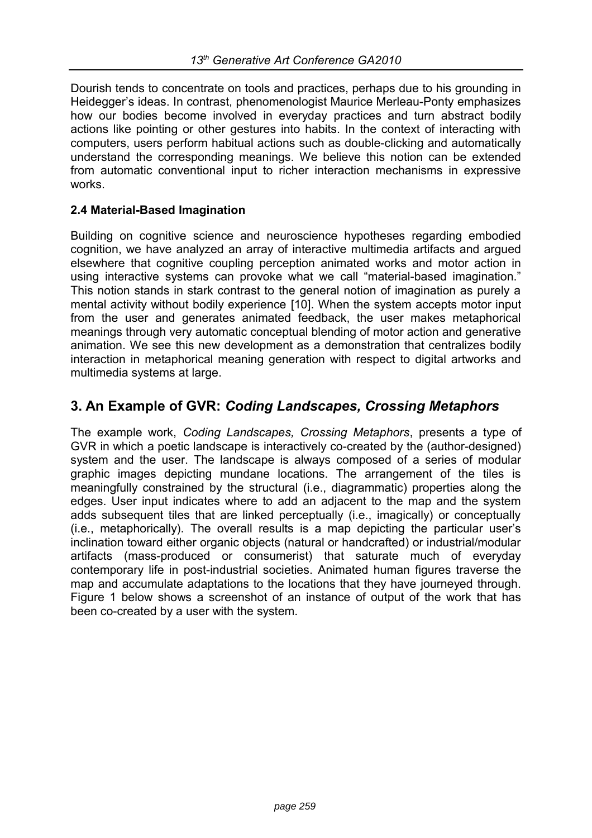Dourish tends to concentrate on tools and practices, perhaps due to his grounding in Heidegger's ideas. In contrast, phenomenologist Maurice Merleau-Ponty emphasizes how our bodies become involved in everyday practices and turn abstract bodily actions like pointing or other gestures into habits. In the context of interacting with computers, users perform habitual actions such as double-clicking and automatically understand the corresponding meanings. We believe this notion can be extended from automatic conventional input to richer interaction mechanisms in expressive works.

#### **2.4 Material-Based Imagination**

Building on cognitive science and neuroscience hypotheses regarding embodied cognition, we have analyzed an array of interactive multimedia artifacts and argued elsewhere that cognitive coupling perception animated works and motor action in using interactive systems can provoke what we call "material-based imagination." This notion stands in stark contrast to the general notion of imagination as purely a mental activity without bodily experience [10]. When the system accepts motor input from the user and generates animated feedback, the user makes metaphorical meanings through very automatic conceptual blending of motor action and generative animation. We see this new development as a demonstration that centralizes bodily interaction in metaphorical meaning generation with respect to digital artworks and multimedia systems at large.

## **3. An Example of GVR:** *Coding Landscapes, Crossing Metaphors*

The example work, *Coding Landscapes, Crossing Metaphors*, presents a type of GVR in which a poetic landscape is interactively co-created by the (author-designed) system and the user. The landscape is always composed of a series of modular graphic images depicting mundane locations. The arrangement of the tiles is meaningfully constrained by the structural (i.e., diagrammatic) properties along the edges. User input indicates where to add an adjacent to the map and the system adds subsequent tiles that are linked perceptually (i.e., imagically) or conceptually (i.e., metaphorically). The overall results is a map depicting the particular user's inclination toward either organic objects (natural or handcrafted) or industrial/modular artifacts (mass-produced or consumerist) that saturate much of everyday contemporary life in post-industrial societies. Animated human figures traverse the map and accumulate adaptations to the locations that they have journeyed through. Figure 1 below shows a screenshot of an instance of output of the work that has been co-created by a user with the system.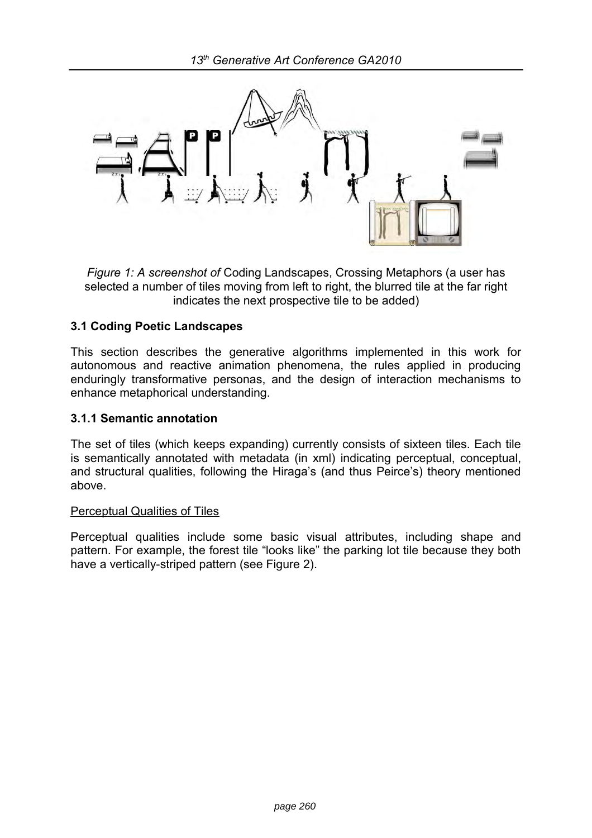

*Figure 1: A screenshot of* Coding Landscapes, Crossing Metaphors (a user has selected a number of tiles moving from left to right, the blurred tile at the far right indicates the next prospective tile to be added)

#### **3.1 Coding Poetic Landscapes**

This section describes the generative algorithms implemented in this work for autonomous and reactive animation phenomena, the rules applied in producing enduringly transformative personas, and the design of interaction mechanisms to enhance metaphorical understanding.

#### **3.1.1 Semantic annotation**

The set of tiles (which keeps expanding) currently consists of sixteen tiles. Each tile is semantically annotated with metadata (in xml) indicating perceptual, conceptual, and structural qualities, following the Hiraga's (and thus Peirce's) theory mentioned above.

#### Perceptual Qualities of Tiles

Perceptual qualities include some basic visual attributes, including shape and pattern. For example, the forest tile "looks like" the parking lot tile because they both have a vertically-striped pattern (see Figure 2).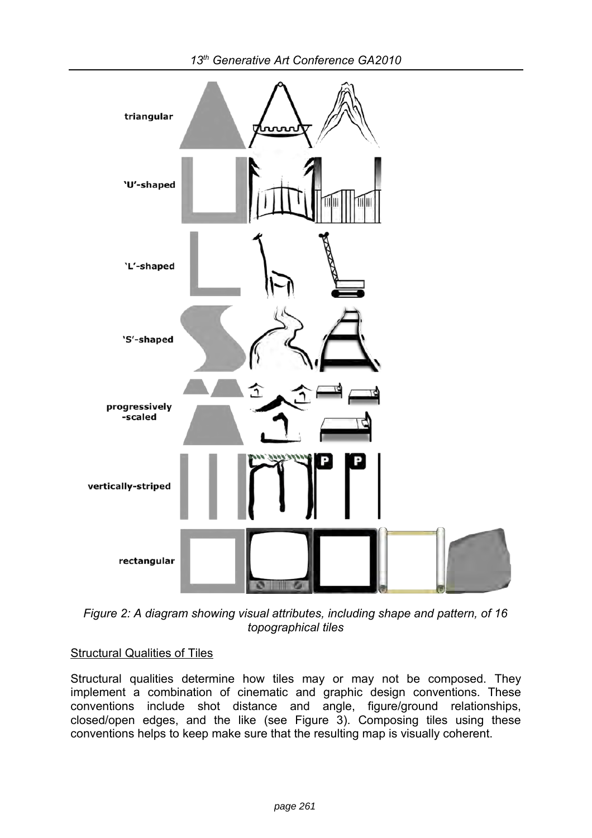triangular **'U'-shaped** 'L'-shaped 'S'-shaped progressively -scaled vertically-striped rectangular

*13th Generative Art Conference GA2010*

*Figure 2: A diagram showing visual attributes, including shape and pattern, of 16 topographical tiles*

## Structural Qualities of Tiles

Structural qualities determine how tiles may or may not be composed. They implement a combination of cinematic and graphic design conventions. These conventions include shot distance and angle, figure/ground relationships, closed/open edges, and the like (see Figure 3). Composing tiles using these conventions helps to keep make sure that the resulting map is visually coherent.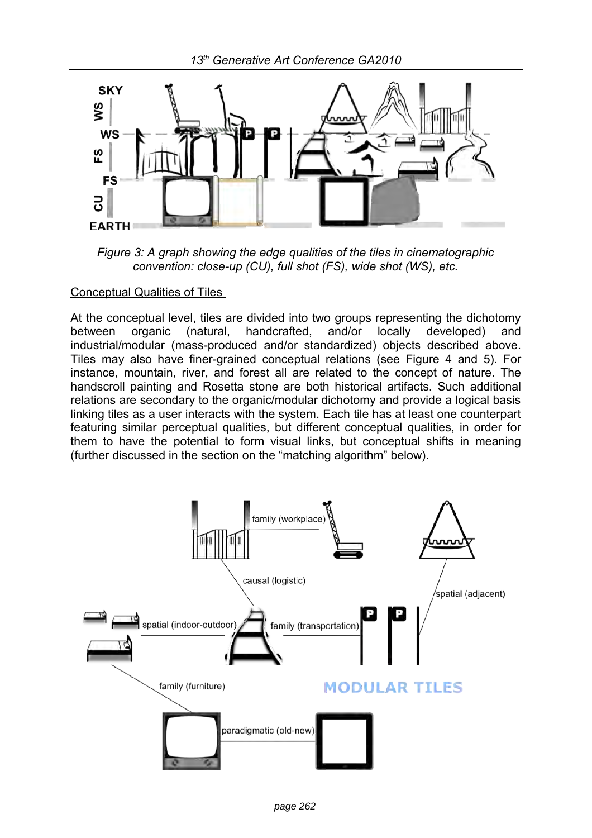

*Figure 3: A graph showing the edge qualities of the tiles in cinematographic convention: close-up (CU), full shot (FS), wide shot (WS), etc.*

#### Conceptual Qualities of Tiles

At the conceptual level, tiles are divided into two groups representing the dichotomy between organic (natural, handcrafted, and/or locally developed) and industrial/modular (mass-produced and/or standardized) objects described above. Tiles may also have finer-grained conceptual relations (see Figure 4 and 5). For instance, mountain, river, and forest all are related to the concept of nature. The handscroll painting and Rosetta stone are both historical artifacts. Such additional relations are secondary to the organic/modular dichotomy and provide a logical basis linking tiles as a user interacts with the system. Each tile has at least one counterpart featuring similar perceptual qualities, but different conceptual qualities, in order for them to have the potential to form visual links, but conceptual shifts in meaning (further discussed in the section on the "matching algorithm" below).

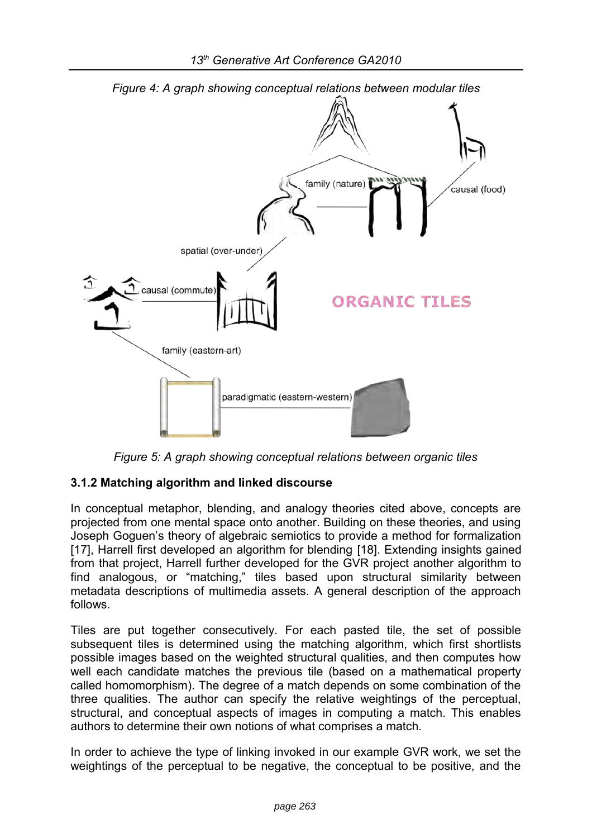

*Figure 5: A graph showing conceptual relations between organic tiles*

## **3.1.2 Matching algorithm and linked discourse**

In conceptual metaphor, blending, and analogy theories cited above, concepts are projected from one mental space onto another. Building on these theories, and using Joseph Goguen's theory of algebraic semiotics to provide a method for formalization [17], Harrell first developed an algorithm for blending [18]. Extending insights gained from that project, Harrell further developed for the GVR project another algorithm to find analogous, or "matching," tiles based upon structural similarity between metadata descriptions of multimedia assets. A general description of the approach follows.

Tiles are put together consecutively. For each pasted tile, the set of possible subsequent tiles is determined using the matching algorithm, which first shortlists possible images based on the weighted structural qualities, and then computes how well each candidate matches the previous tile (based on a mathematical property called homomorphism). The degree of a match depends on some combination of the three qualities. The author can specify the relative weightings of the perceptual, structural, and conceptual aspects of images in computing a match. This enables authors to determine their own notions of what comprises a match.

In order to achieve the type of linking invoked in our example GVR work, we set the weightings of the perceptual to be negative, the conceptual to be positive, and the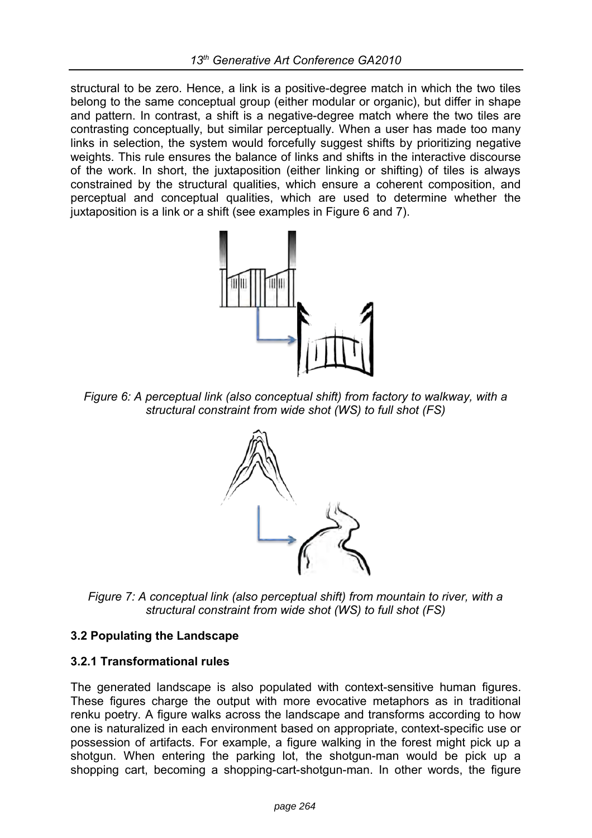structural to be zero. Hence, a link is a positive-degree match in which the two tiles belong to the same conceptual group (either modular or organic), but differ in shape and pattern. In contrast, a shift is a negative-degree match where the two tiles are contrasting conceptually, but similar perceptually. When a user has made too many links in selection, the system would forcefully suggest shifts by prioritizing negative weights. This rule ensures the balance of links and shifts in the interactive discourse of the work. In short, the juxtaposition (either linking or shifting) of tiles is always constrained by the structural qualities, which ensure a coherent composition, and perceptual and conceptual qualities, which are used to determine whether the juxtaposition is a link or a shift (see examples in Figure 6 and 7).



*Figure 6: A perceptual link (also conceptual shift) from factory to walkway, with a structural constraint from wide shot (WS) to full shot (FS)*



*Figure 7: A conceptual link (also perceptual shift) from mountain to river, with a structural constraint from wide shot (WS) to full shot (FS)*

#### **3.2 Populating the Landscape**

#### **3.2.1 Transformational rules**

The generated landscape is also populated with context-sensitive human figures. These figures charge the output with more evocative metaphors as in traditional renku poetry. A figure walks across the landscape and transforms according to how one is naturalized in each environment based on appropriate, context-specific use or possession of artifacts. For example, a figure walking in the forest might pick up a shotgun. When entering the parking lot, the shotgun-man would be pick up a shopping cart, becoming a shopping-cart-shotgun-man. In other words, the figure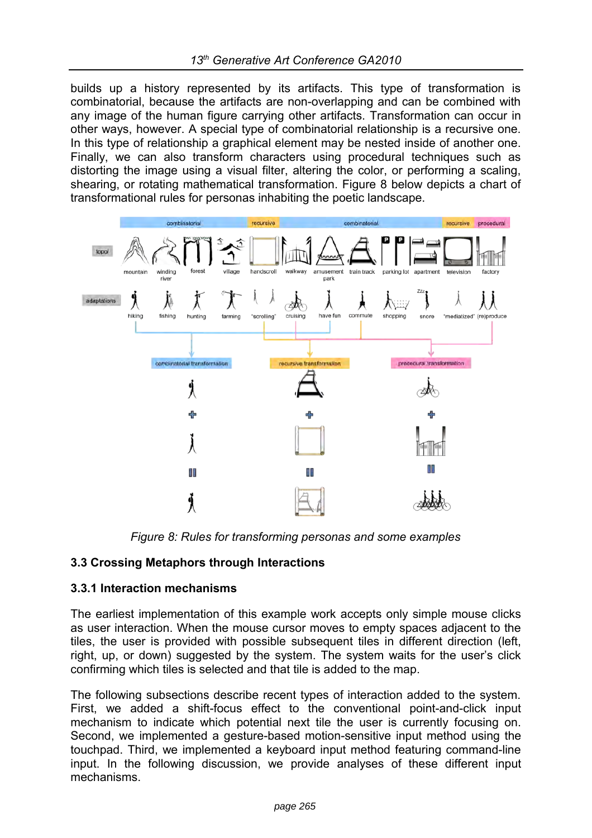builds up a history represented by its artifacts. This type of transformation is combinatorial, because the artifacts are non-overlapping and can be combined with any image of the human figure carrying other artifacts. Transformation can occur in other ways, however. A special type of combinatorial relationship is a recursive one. In this type of relationship a graphical element may be nested inside of another one. Finally, we can also transform characters using procedural techniques such as distorting the image using a visual filter, altering the color, or performing a scaling, shearing, or rotating mathematical transformation. Figure 8 below depicts a chart of transformational rules for personas inhabiting the poetic landscape.



*Figure 8: Rules for transforming personas and some examples*

## **3.3 Crossing Metaphors through Interactions**

#### **3.3.1 Interaction mechanisms**

The earliest implementation of this example work accepts only simple mouse clicks as user interaction. When the mouse cursor moves to empty spaces adjacent to the tiles, the user is provided with possible subsequent tiles in different direction (left, right, up, or down) suggested by the system. The system waits for the user's click confirming which tiles is selected and that tile is added to the map.

The following subsections describe recent types of interaction added to the system. First, we added a shift-focus effect to the conventional point-and-click input mechanism to indicate which potential next tile the user is currently focusing on. Second, we implemented a gesture-based motion-sensitive input method using the touchpad. Third, we implemented a keyboard input method featuring command-line input. In the following discussion, we provide analyses of these different input mechanisms.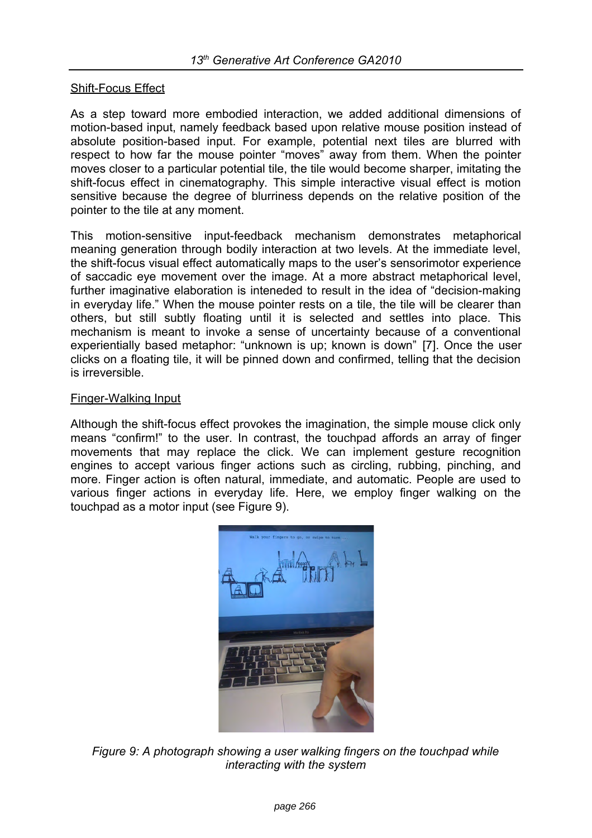#### Shift-Focus Effect

As a step toward more embodied interaction, we added additional dimensions of motion-based input, namely feedback based upon relative mouse position instead of absolute position-based input. For example, potential next tiles are blurred with respect to how far the mouse pointer "moves" away from them. When the pointer moves closer to a particular potential tile, the tile would become sharper, imitating the shift-focus effect in cinematography. This simple interactive visual effect is motion sensitive because the degree of blurriness depends on the relative position of the pointer to the tile at any moment.

This motion-sensitive input-feedback mechanism demonstrates metaphorical meaning generation through bodily interaction at two levels. At the immediate level, the shift-focus visual effect automatically maps to the user's sensorimotor experience of saccadic eye movement over the image. At a more abstract metaphorical level, further imaginative elaboration is inteneded to result in the idea of "decision-making in everyday life." When the mouse pointer rests on a tile, the tile will be clearer than others, but still subtly floating until it is selected and settles into place. This mechanism is meant to invoke a sense of uncertainty because of a conventional experientially based metaphor: "unknown is up; known is down" [7]. Once the user clicks on a floating tile, it will be pinned down and confirmed, telling that the decision is irreversible.

#### Finger-Walking Input

Although the shift-focus effect provokes the imagination, the simple mouse click only means "confirm!" to the user. In contrast, the touchpad affords an array of finger movements that may replace the click. We can implement gesture recognition engines to accept various finger actions such as circling, rubbing, pinching, and more. Finger action is often natural, immediate, and automatic. People are used to various finger actions in everyday life. Here, we employ finger walking on the touchpad as a motor input (see Figure 9).



*Figure 9: A photograph showing a user walking fingers on the touchpad while interacting with the system*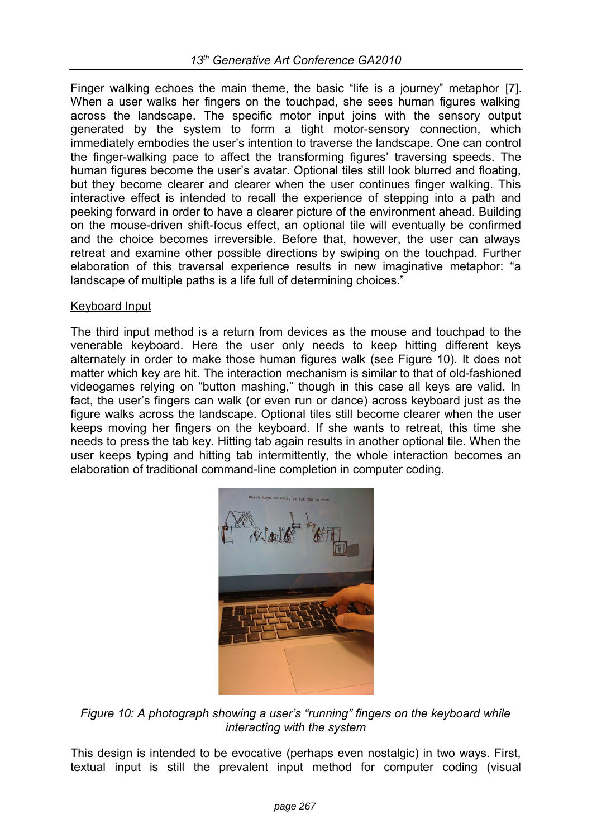Finger walking echoes the main theme, the basic "life is a journey" metaphor [7]. When a user walks her fingers on the touchpad, she sees human figures walking across the landscape. The specific motor input joins with the sensory output generated by the system to form a tight motor-sensory connection, which immediately embodies the user's intention to traverse the landscape. One can control the finger-walking pace to affect the transforming figures' traversing speeds. The human figures become the user's avatar. Optional tiles still look blurred and floating, but they become clearer and clearer when the user continues finger walking. This interactive effect is intended to recall the experience of stepping into a path and peeking forward in order to have a clearer picture of the environment ahead. Building on the mouse-driven shift-focus effect, an optional tile will eventually be confirmed and the choice becomes irreversible. Before that, however, the user can always retreat and examine other possible directions by swiping on the touchpad. Further elaboration of this traversal experience results in new imaginative metaphor: "a landscape of multiple paths is a life full of determining choices."

#### Keyboard Input

The third input method is a return from devices as the mouse and touchpad to the venerable keyboard. Here the user only needs to keep hitting different keys alternately in order to make those human figures walk (see Figure 10). It does not matter which key are hit. The interaction mechanism is similar to that of old-fashioned videogames relying on "button mashing," though in this case all keys are valid. In fact, the user's fingers can walk (or even run or dance) across keyboard just as the figure walks across the landscape. Optional tiles still become clearer when the user keeps moving her fingers on the keyboard. If she wants to retreat, this time she needs to press the tab key. Hitting tab again results in another optional tile. When the user keeps typing and hitting tab intermittently, the whole interaction becomes an elaboration of traditional command-line completion in computer coding.



*Figure 10: A photograph showing a user's "running" fingers on the keyboard while interacting with the system*

This design is intended to be evocative (perhaps even nostalgic) in two ways. First, textual input is still the prevalent input method for computer coding (visual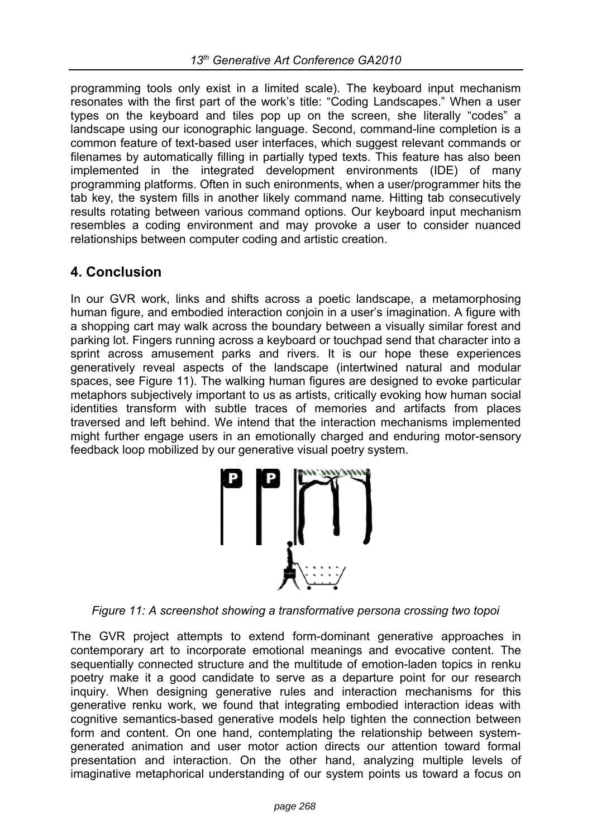programming tools only exist in a limited scale). The keyboard input mechanism resonates with the first part of the work's title: "Coding Landscapes." When a user types on the keyboard and tiles pop up on the screen, she literally "codes" a landscape using our iconographic language. Second, command-line completion is a common feature of text-based user interfaces, which suggest relevant commands or filenames by automatically filling in partially typed texts. This feature has also been implemented in the integrated development environments (IDE) of many programming platforms. Often in such enironments, when a user/programmer hits the tab key, the system fills in another likely command name. Hitting tab consecutively results rotating between various command options. Our keyboard input mechanism resembles a coding environment and may provoke a user to consider nuanced relationships between computer coding and artistic creation.

## **4. Conclusion**

In our GVR work, links and shifts across a poetic landscape, a metamorphosing human figure, and embodied interaction conjoin in a user's imagination. A figure with a shopping cart may walk across the boundary between a visually similar forest and parking lot. Fingers running across a keyboard or touchpad send that character into a sprint across amusement parks and rivers. It is our hope these experiences generatively reveal aspects of the landscape (intertwined natural and modular spaces, see Figure 11). The walking human figures are designed to evoke particular metaphors subjectively important to us as artists, critically evoking how human social identities transform with subtle traces of memories and artifacts from places traversed and left behind. We intend that the interaction mechanisms implemented might further engage users in an emotionally charged and enduring motor-sensory feedback loop mobilized by our generative visual poetry system.



*Figure 11: A screenshot showing a transformative persona crossing two topoi*

The GVR project attempts to extend form-dominant generative approaches in contemporary art to incorporate emotional meanings and evocative content. The sequentially connected structure and the multitude of emotion-laden topics in renku poetry make it a good candidate to serve as a departure point for our research inquiry. When designing generative rules and interaction mechanisms for this generative renku work, we found that integrating embodied interaction ideas with cognitive semantics-based generative models help tighten the connection between form and content. On one hand, contemplating the relationship between systemgenerated animation and user motor action directs our attention toward formal presentation and interaction. On the other hand, analyzing multiple levels of imaginative metaphorical understanding of our system points us toward a focus on